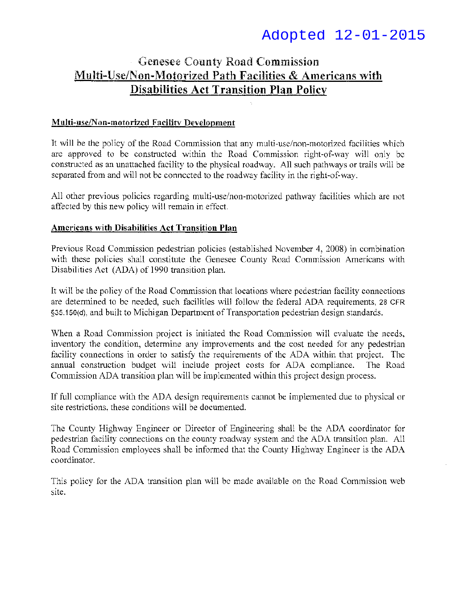# Adopted 12-01-2015

# Genesee County Road Commission Multi-Use/Non-Motorized Path Facilities & Americans with Disabilities Act Transition Plan Policy

# **Multi-use/Non-motorized f** acilitv **Development**

It will be the policy of the Road Commission that any multi-use/non-motorized facilities which are approved to be constrncted within the Road Commission right-of-way will only be constructed as an unattached facility to the physical roadway. All such pathways or trails will be separated from and will not be connected to the roadway facility in the right-of-way.

All other previous policies regarding multi-use/non-motorized pathway facilities which are not affected by this new policy will remain in effect.

#### **Americans with Disabilities Act Transition Plan**

Previous Road Commission pedestrian policies (established November 4, 2008) in combination with these policies shall constitute the Genesee County Road Commission Americans with Disabilities Act (ADA) of 1990 transition plan.

It will be the policy of the Road Commission that locations where pedestrian facility connections are determined 1o be needed, such facilities will follow the federal ADA requirements, 28 CFR §35.150(d), and built to Michigan Department of Transportation pedestrian design standards.

When a Road Commission project is initiated the Road Commission will evaluate the needs, inventory the condition, determine any improvements and the cost needed for any pedestrian facility connections in order to satisfy the requirements of the ADA within that project. The annual construction budget will include project costs for ADA compliance. The Road Commission ADA transition plan will be implemented within this project design process.

If full compliance with the ADA design requirements cannot be implemented due to physical or site restrictions. these conditions will be documented.

The County Highway Engineer or Director of Engineering shall be the ADA coordinator for pedestrian facility connections on the county roadway system and the ADA transition plan. All Road Commission employees shall be informed that the County Highway Engineer is the ADA coordinator.

This policy for the ADA transition plan will be made available on the Road Commission web site.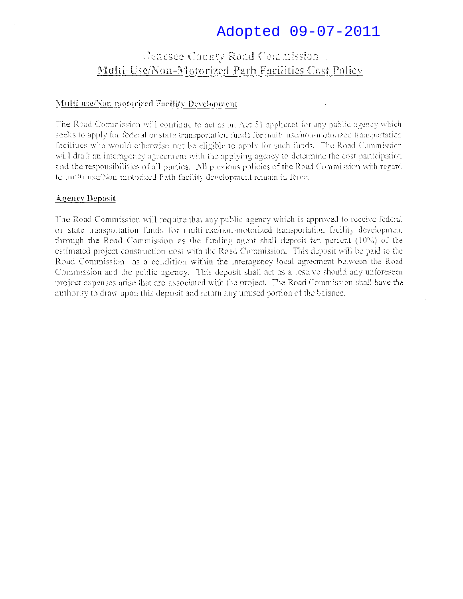# Adopted 09-07-2011

# Genesee County Road Commission. Multi-Use/Non-Motorized Path Facilities Cost Policy

#### Multi-use/Non-motorized Facility Development

The Road Commission will continue to act as an Act 51 applicant for any public agency which seeks to apply for federal or state transportation funds for multi-use/non-motorized transportation facilities who would otherwise not be eligible to apply for such funds. The Road Commission will draft an interagency agreement with the applying agency to determine the cost participation and the responsibilities of all parties. All previous policies of the Road Commission with regard to multi-use/Non-motorized Path facility development remain in force.

#### Agency Deposit

The Road Commission will require that any pablic agency which is approved to receive federal or state transportation funds for multi-use/non-motorized transportation facility development through the Road Commission as the funding agent shall deposit ten percent (10%) of the estimated project construction cost with the Road Commission. This deposit will be paid to the Road Commission as a condition within the interagency local agreement between the Road Commission and the public agency. This deposit shall act as a reserve should any unforeseen project expenses arise that are associated with the project. The Road Commission shall have the authority to draw upon this deposit and return any unused portion of the balance.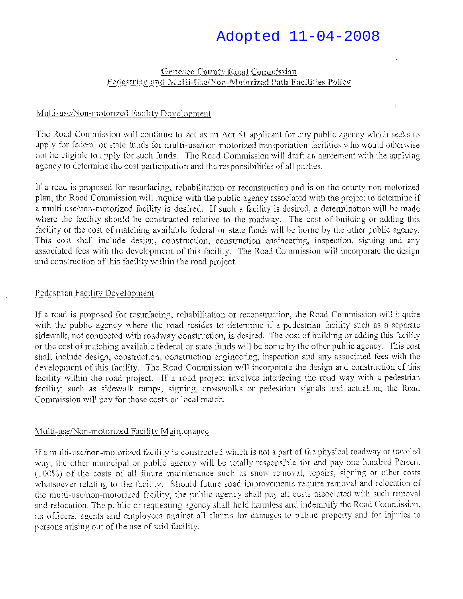# Adopted 11-04-2008

# Genesee County Road Commission  $Fedestri,$ ind 2nd  $N$ ulti-Use/Non-Motorized Path Facilities Policy

#### Multi-use/Non-motorized Facility Development

The Road Commission will continue to act as an Act 51 applicant for any public agency which seeks to apply for federal or state funds for multi-use/non-motorized transportation facilities who would otherwise not be eligible to apply for such funds. The Road Commission will draft an agreement with the applying agency to determine the cost participation and the responsibilities of all parties.

If a road is proposed for resurfacing, rehabilitation or reconstruction and is on the county non-motorized plan, the Road Commission will inquire with the public agency associated with the project to determine if a multi-use/non-motorized facility is desired. If such a facility is desired, a determination will be made where the facility should be constructed relative to the roadway. The cost of building or adding this facility or the cost of matching available federal or state funds will he borne by the other public agency. This cost shall include design, construction, construction engineering, inspection, signing and any associated fees with the development of this facility. The Road Commission will incorporate the design and construction of this facility within the road project.

#### Pedestrian Facility Development

If a road is proposed for resurfacing, rehabilitation or reconstruction, the Road Commission will inquire with the public agency where the road resides to determine if a pedestrian facility such as a separate sidewalk, not connected with roadway construction, is desired. The cost of building or adding this facility or the cost of matching available federal or state funds will be borne by the other public agency. This cost shall include design, construction, construction engineering, inspection and any associated fees with the development of this facility. The Road Commission will incorporate the design and construction of this facility within the road project. If a road project involves interfacing the road way with a pedestrian facility; such as sidewalk ramps, signing, crosswalks or pedestrian signals and actuation; the Road Commission will pay for those costs or local match.

#### Multi-use/Non-motorized Facility Maintenance

If a multi-usc/non-motorized facility is constructed which is not a part of the physical roadway or traveled way, the other municipal or public agency will be totally responsible for and pay one hundred Percent  $(100%)$  of the costs of all future maintenance such as snow removal, repairs, signing or other costs whatsoever relating to the facility. Should future road improvements require removal and relocation of the multi-use/non-motorized facility, the public agency shall pay all costs associated with such removal and relocation. The public or requesting agency shall hold harmless and indemnify the Road Commission, its officers, agents and employees against all claims for damages to public property and for injuries to persons arising out of the use of said facility.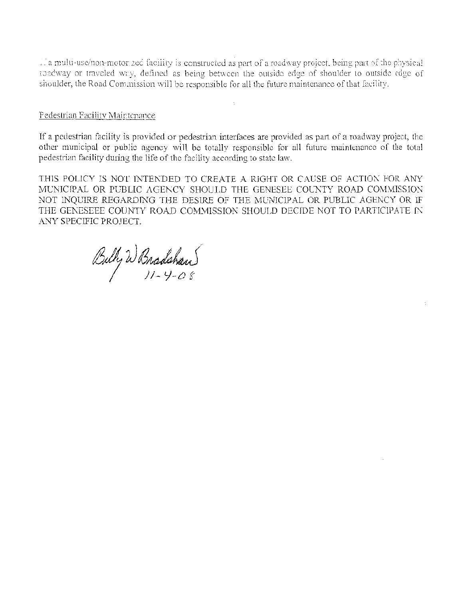To multi-use/non-motorized facility is constructed as part of a roadway project, being part of the physical roadway or traveled way, defined as being between the outside edge of shoulder to outside edge of shoulder, the Road Commission will be responsible for all the future maintenance of that facility.

#### Pedestrian Facility Maintenance

If a pedestrian facility is provided or pedestrian interfaces are provided as part of a roadway project, the other municipal or public agency will be totally responsible for all future maintenance of the total pedestrian facility during the life of the facility according to state law.

THIS POLICY IS NOT INTENDED TO CREATE A RIGHT OR CAUSE OF ACTION FOR ANY MUNICIPAL OR PUBLIC AGENCY SHOULD THE GENESEE COUNTY ROAD COMMISSION NOT INQUIRE REGARDING THE DESIRE OF THE MUNICIPAL OR PUBLIC AGENCY OR IF THE GENESEEE COUNTY ROAD COMMISSION SHOULD DECIDE NOT TO PARTICIPATE IN ANY SPECIFIC PROJECT.

Bully W Bradshaw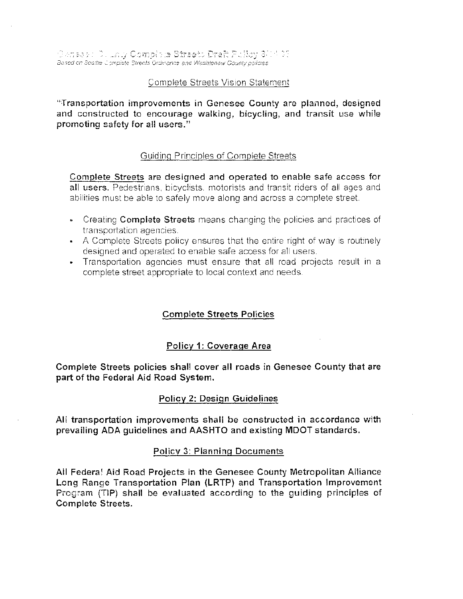'·" -, *·'··J* \_ *.,·,)* , \_\_ ;;::::/:-:s.::c;·· C:·2;-\_. -- *·: ..* :J:;  $\emph{Based on Seafter }$  .  $\emph{2}$  mplete Streets Ordinance and Washtenaw County policies

## Complete Streets Vision Statement

"Transportation improvements in Genesee County are planned, designed and constructed to encourage walking, bicycling, and transit use while promoting safety for all users."

## Guiding Princioles of Complete Streets

Complete Streets are designed and operated to enable safe access for all users. Pedestrians, bicyclists motorists and transit riders of all ages and abilities must be able to safely move along and across a complete street.

- .. Creating Complete Streets means changing the policies and practices of transportation agencies.
- $\bullet$  A Complete Streets policy ensures that the entire right of way is routinely designed and operated to enable safe access for all users.
- .. Transportation agencies must ensure that all road projects result in a complete street appropriate to local context and needs

# Complete Streets Policies

## Policy 1: Coverage Area

Complete Streets policies shall cover all roads in Genesee County that are part of the Federal Aid Road System.

## Policy 2: Design Guidelines

Ali transportation improvements shall be constructed in accordance with prevailing ADA guidelines and AASHTO and existing MDOT standards.

#### Policy 3: Planning Documents

All Federa! Aid Road Projects in the Genesee County Metropolitan Alliance Long Range Transportation Plan (LRTP) and Transportation Improvement Program (TIP) shall be evaluated according to the quiding principles of Complete Streets.